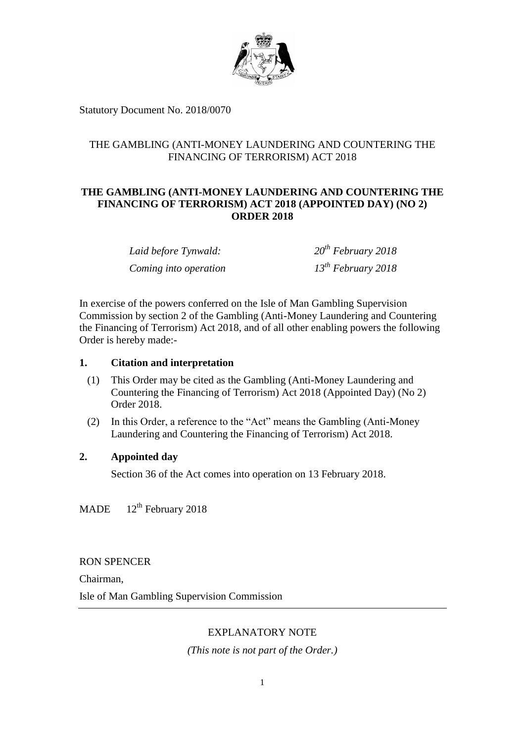

Statutory Document No. 2018/0070

## THE GAMBLING (ANTI-MONEY LAUNDERING AND COUNTERING THE FINANCING OF TERRORISM) ACT 2018

# **THE GAMBLING (ANTI-MONEY LAUNDERING AND COUNTERING THE FINANCING OF TERRORISM) ACT 2018 (APPOINTED DAY) (NO 2) ORDER 2018**

| Laid before Tynwald:  | $20^{th}$ February 2018 |
|-----------------------|-------------------------|
| Coming into operation | $13^{th}$ February 2018 |

In exercise of the powers conferred on the Isle of Man Gambling Supervision Commission by section 2 of the Gambling (Anti-Money Laundering and Countering the Financing of Terrorism) Act 2018, and of all other enabling powers the following Order is hereby made:-

## **1. Citation and interpretation**

- (1) This Order may be cited as the Gambling (Anti-Money Laundering and Countering the Financing of Terrorism) Act 2018 (Appointed Day) (No 2) Order 2018.
- (2) In this Order, a reference to the "Act" means the Gambling (Anti-Money Laundering and Countering the Financing of Terrorism) Act 2018.

## **2. Appointed day**

Section 36 of the Act comes into operation on 13 February 2018.

**MADE**  $12<sup>th</sup>$  February 2018

RON SPENCER

Chairman,

Isle of Man Gambling Supervision Commission

## EXPLANATORY NOTE

*(This note is not part of the Order.)*